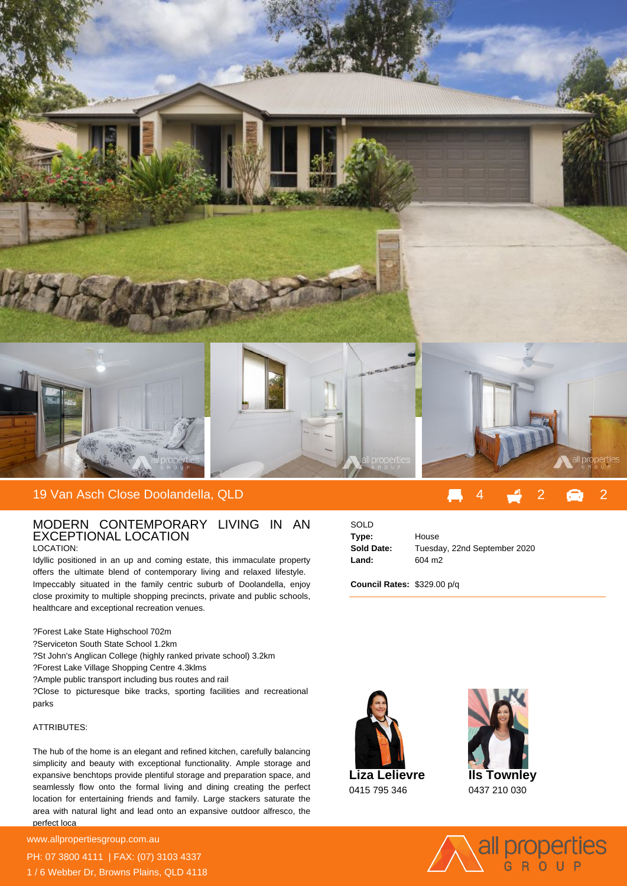

## 19 Van Asch Close Doolandella, QLD

## MODERN CONTEMPORARY LIVING IN AN EXCEPTIONAL LOCATION LOCATION:

Idyllic positioned in an up and coming estate, this immaculate property offers the ultimate blend of contemporary living and relaxed lifestyle. Impeccably situated in the family centric suburb of Doolandella, enjoy close proximity to multiple shopping precincts, private and public schools, healthcare and exceptional recreation venues.

- ? Forest Lake State Highschool 702m
- ? Serviceton South State School 1.2km
- ? St John's Anglican College (highly ranked private school) 3.2km
- ? Forest Lake Village Shopping Centre 4.3klms
- ? Ample public transport including bus routes and rail

? Close to picturesque bike tracks, sporting facilities and recreational parks

## ATTRIBUTES:

The hub of the home is an elegant and refined kitchen, carefully balancing simplicity and beauty with exceptional functionality. Ample storage and expansive benchtops provide plentiful storage and preparation space, and seamlessly flow onto the formal living and dining creating the perfect location for entertaining friends and family. Large stackers saturate the area with natural light and lead onto an expansive outdoor alfresco, the perfect loca

**For more details please visit** www.allpropertiesgroup.com.au PH: 07 3800 4111 | FAX: (07) 3103 4337 1 / 6 Webber Dr, Browns Plains, QLD 4118

| SOLD       |                              |
|------------|------------------------------|
| Type:      | House                        |
| Sold Date: | Tuesday, 22nd September 2020 |
| Land:      | 604 m <sub>2</sub>           |
|            |                              |

**Council Rates:** \$329.00 p/q





0437 210 030